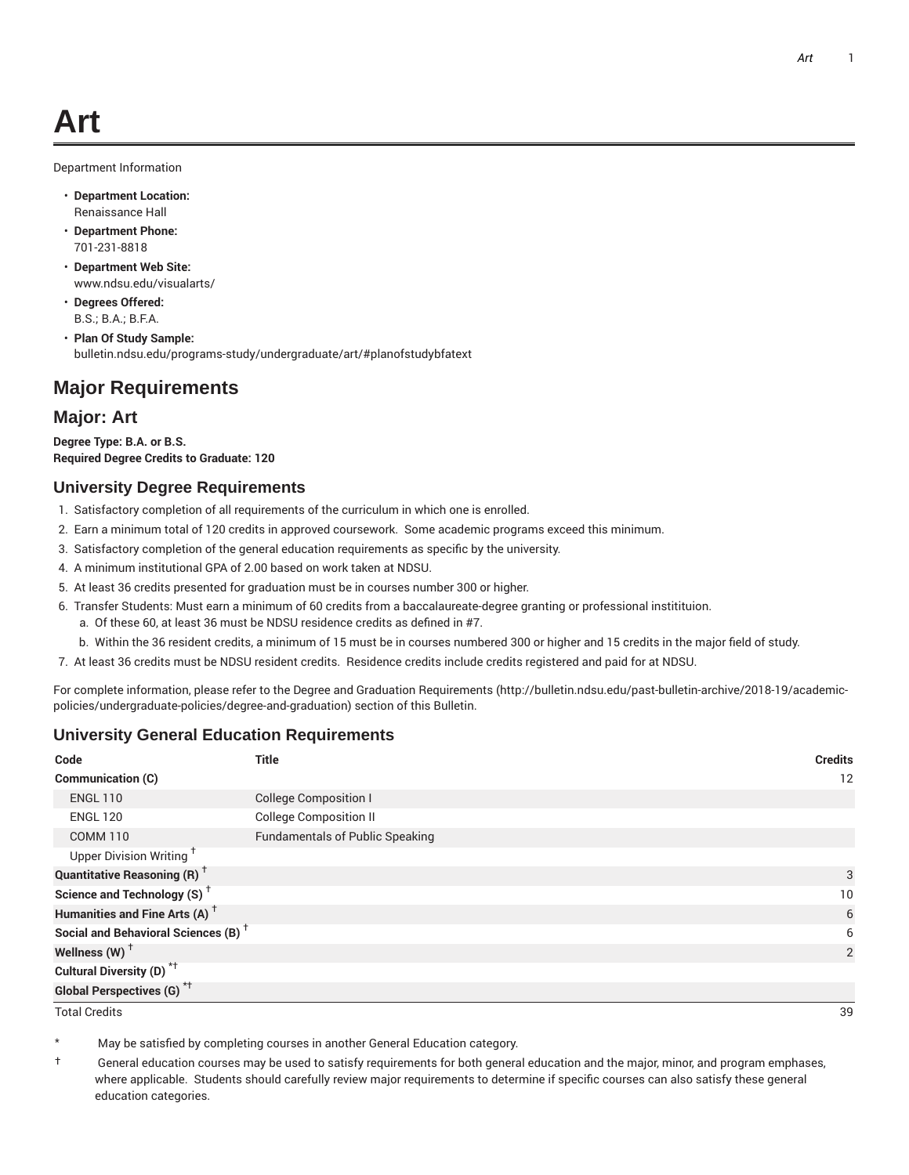Department Information

- **Department Location:** Renaissance Hall
- **Department Phone:** 701-231-8818
- **Department Web Site:** www.ndsu.edu/visualarts/
- **Degrees Offered:** B.S.; B.A.; B.F.A.
- **Plan Of Study Sample:** bulletin.ndsu.edu/programs-study/undergraduate/art/#planofstudybfatext

# **Major Requirements**

#### **Major: Art**

**Degree Type: B.A. or B.S. Required Degree Credits to Graduate: 120**

#### **University Degree Requirements**

- 1. Satisfactory completion of all requirements of the curriculum in which one is enrolled.
- 2. Earn a minimum total of 120 credits in approved coursework. Some academic programs exceed this minimum.
- 3. Satisfactory completion of the general education requirements as specific by the university.
- 4. A minimum institutional GPA of 2.00 based on work taken at NDSU.
- 5. At least 36 credits presented for graduation must be in courses number 300 or higher.
- 6. Transfer Students: Must earn a minimum of 60 credits from a baccalaureate-degree granting or professional institituion.
	- a. Of these 60, at least 36 must be NDSU residence credits as defined in #7.
	- b. Within the 36 resident credits, a minimum of 15 must be in courses numbered 300 or higher and 15 credits in the major field of study.
- 7. At least 36 credits must be NDSU resident credits. Residence credits include credits registered and paid for at NDSU.

For complete information, please refer to the Degree and Graduation Requirements (http://bulletin.ndsu.edu/past-bulletin-archive/2018-19/academicpolicies/undergraduate-policies/degree-and-graduation) section of this Bulletin.

### **University General Education Requirements**

| Code                                            | <b>Title</b>                           | <b>Credits</b>  |
|-------------------------------------------------|----------------------------------------|-----------------|
| Communication (C)                               |                                        | 12              |
| <b>ENGL 110</b>                                 | <b>College Composition I</b>           |                 |
| <b>ENGL 120</b>                                 | <b>College Composition II</b>          |                 |
| <b>COMM 110</b>                                 | <b>Fundamentals of Public Speaking</b> |                 |
| Upper Division Writing <sup>+</sup>             |                                        |                 |
| <b>Quantitative Reasoning (R)</b> <sup>†</sup>  |                                        | 3               |
| Science and Technology (S) <sup>+</sup>         |                                        | 10 <sup>°</sup> |
| Humanities and Fine Arts (A) <sup>+</sup>       |                                        | 6               |
| Social and Behavioral Sciences (B) <sup>+</sup> |                                        | 6               |
| Wellness $(W)$ <sup>+</sup>                     |                                        | 2               |
| Cultural Diversity (D) <sup>*†</sup>            |                                        |                 |
| <b>Global Perspectives (G)</b> * <sup>†</sup>   |                                        |                 |

Total Credits 39

May be satisfied by completing courses in another General Education category.

† General education courses may be used to satisfy requirements for both general education and the major, minor, and program emphases, where applicable. Students should carefully review major requirements to determine if specific courses can also satisfy these general education categories.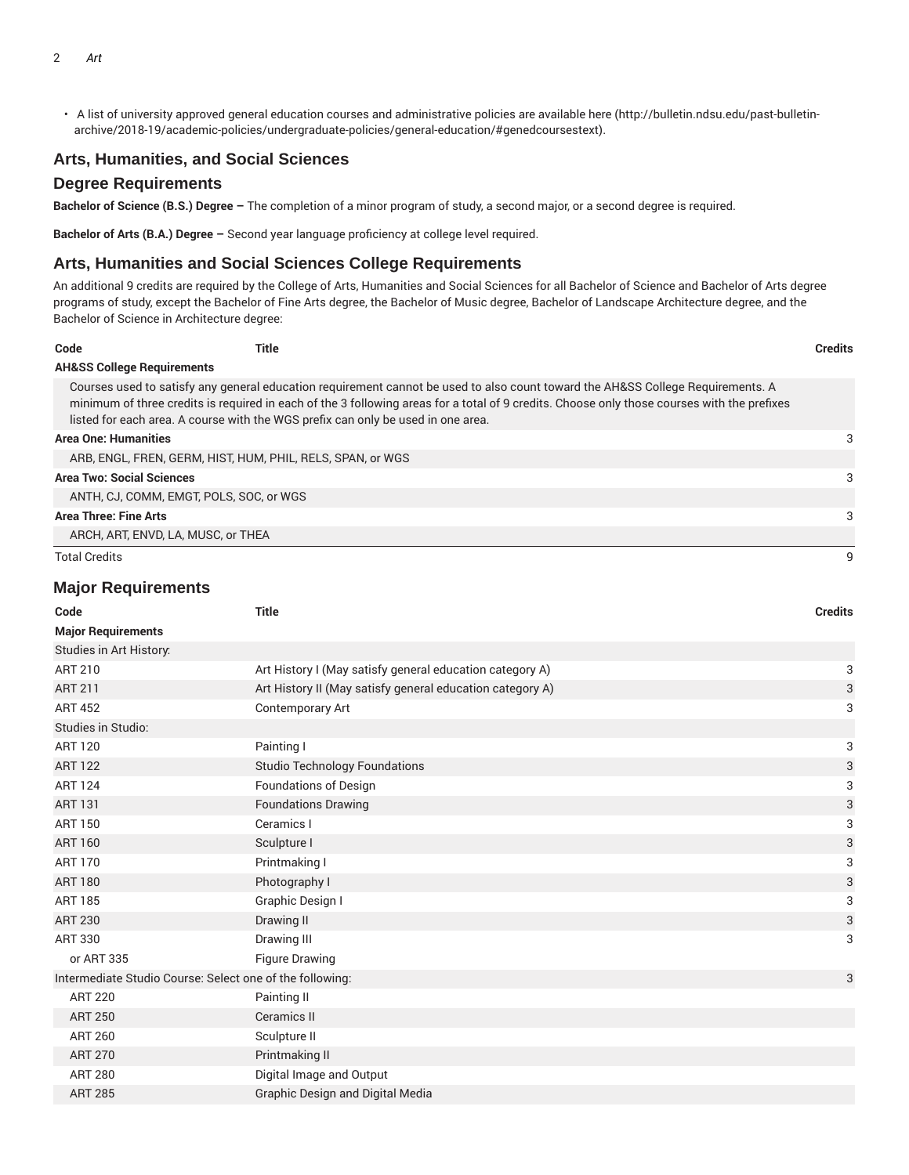• A list of university approved general education courses and administrative policies are available here (http://bulletin.ndsu.edu/past-bulletinarchive/2018-19/academic-policies/undergraduate-policies/general-education/#genedcoursestext).

## **Arts, Humanities, and Social Sciences**

#### **Degree Requirements**

**Bachelor of Science (B.S.) Degree –** The completion of a minor program of study, a second major, or a second degree is required.

**Bachelor of Arts (B.A.) Degree –** Second year language proficiency at college level required.

#### **Arts, Humanities and Social Sciences College Requirements**

An additional 9 credits are required by the College of Arts, Humanities and Social Sciences for all Bachelor of Science and Bachelor of Arts degree programs of study, except the Bachelor of Fine Arts degree, the Bachelor of Music degree, Bachelor of Landscape Architecture degree, and the Bachelor of Science in Architecture degree:

| Code                                  | Title                                                                            |                                                                                                                                                                                                                                                                                | <b>Credits</b> |
|---------------------------------------|----------------------------------------------------------------------------------|--------------------------------------------------------------------------------------------------------------------------------------------------------------------------------------------------------------------------------------------------------------------------------|----------------|
| <b>AH&amp;SS College Requirements</b> |                                                                                  |                                                                                                                                                                                                                                                                                |                |
|                                       | listed for each area. A course with the WGS prefix can only be used in one area. | Courses used to satisfy any general education requirement cannot be used to also count toward the AH&SS College Requirements. A<br>minimum of three credits is required in each of the 3 following areas for a total of 9 credits. Choose only those courses with the prefixes |                |
| <b>Area One: Humanities</b>           |                                                                                  |                                                                                                                                                                                                                                                                                | 3              |
|                                       | ARB, ENGL, FREN, GERM, HIST, HUM, PHIL, RELS, SPAN, or WGS                       |                                                                                                                                                                                                                                                                                |                |
| <b>Area Two: Social Sciences</b>      |                                                                                  |                                                                                                                                                                                                                                                                                | 3              |
|                                       | ANTH, CJ, COMM, EMGT, POLS, SOC, or WGS                                          |                                                                                                                                                                                                                                                                                |                |
| Area Three: Fine Arts                 |                                                                                  |                                                                                                                                                                                                                                                                                | 3              |
|                                       | ARCH, ART, ENVD, LA, MUSC, or THEA                                               |                                                                                                                                                                                                                                                                                |                |
| <b>Total Credits</b>                  |                                                                                  |                                                                                                                                                                                                                                                                                | 9              |

#### **Major Requirements**

| Code                                                     | <b>Title</b>                                              | <b>Credits</b> |
|----------------------------------------------------------|-----------------------------------------------------------|----------------|
| <b>Major Requirements</b>                                |                                                           |                |
| Studies in Art History:                                  |                                                           |                |
| <b>ART 210</b>                                           | Art History I (May satisfy general education category A)  | 3              |
| <b>ART 211</b>                                           | Art History II (May satisfy general education category A) | 3              |
| <b>ART 452</b>                                           | Contemporary Art                                          | 3              |
| Studies in Studio:                                       |                                                           |                |
| <b>ART 120</b>                                           | Painting I                                                | 3              |
| <b>ART 122</b>                                           | <b>Studio Technology Foundations</b>                      | 3              |
| <b>ART 124</b>                                           | <b>Foundations of Design</b>                              | 3              |
| <b>ART 131</b>                                           | <b>Foundations Drawing</b>                                | 3              |
| <b>ART 150</b>                                           | Ceramics I                                                | 3              |
| <b>ART 160</b>                                           | Sculpture I                                               | 3              |
| <b>ART 170</b>                                           | Printmaking I                                             | 3              |
| <b>ART 180</b>                                           | Photography I                                             | 3              |
| <b>ART 185</b>                                           | Graphic Design I                                          | 3              |
| <b>ART 230</b>                                           | Drawing II                                                | 3              |
| <b>ART 330</b>                                           | Drawing III                                               | 3              |
| or ART 335                                               | <b>Figure Drawing</b>                                     |                |
| Intermediate Studio Course: Select one of the following: |                                                           | 3              |
| <b>ART 220</b>                                           | Painting II                                               |                |
| <b>ART 250</b>                                           | Ceramics II                                               |                |
| <b>ART 260</b>                                           | Sculpture II                                              |                |
| <b>ART 270</b>                                           | Printmaking II                                            |                |
| <b>ART 280</b>                                           | Digital Image and Output                                  |                |
| <b>ART 285</b>                                           | <b>Graphic Design and Digital Media</b>                   |                |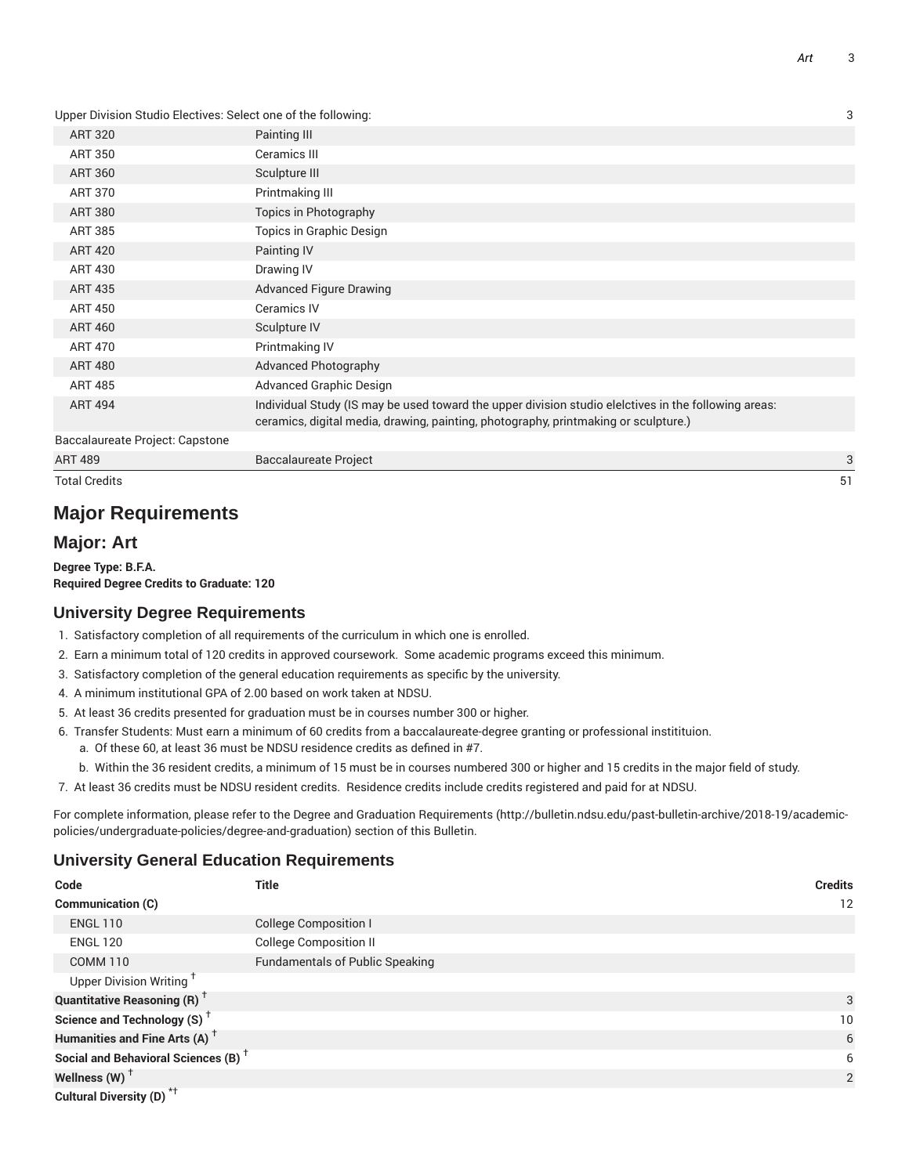| 3<br>Upper Division Studio Electives: Select one of the following: |                                                                                                                                                                                             |   |  |
|--------------------------------------------------------------------|---------------------------------------------------------------------------------------------------------------------------------------------------------------------------------------------|---|--|
| <b>ART 320</b>                                                     | Painting III                                                                                                                                                                                |   |  |
| <b>ART 350</b>                                                     | Ceramics III                                                                                                                                                                                |   |  |
| <b>ART 360</b>                                                     | Sculpture III                                                                                                                                                                               |   |  |
| <b>ART 370</b>                                                     | Printmaking III                                                                                                                                                                             |   |  |
| <b>ART 380</b>                                                     | Topics in Photography                                                                                                                                                                       |   |  |
| <b>ART 385</b>                                                     | Topics in Graphic Design                                                                                                                                                                    |   |  |
| <b>ART 420</b>                                                     | Painting IV                                                                                                                                                                                 |   |  |
| ART 430                                                            | Drawing IV                                                                                                                                                                                  |   |  |
| <b>ART 435</b>                                                     | <b>Advanced Figure Drawing</b>                                                                                                                                                              |   |  |
| <b>ART 450</b>                                                     | <b>Ceramics IV</b>                                                                                                                                                                          |   |  |
| <b>ART 460</b>                                                     | Sculpture IV                                                                                                                                                                                |   |  |
| <b>ART 470</b>                                                     | Printmaking IV                                                                                                                                                                              |   |  |
| <b>ART 480</b>                                                     | <b>Advanced Photography</b>                                                                                                                                                                 |   |  |
| <b>ART 485</b>                                                     | <b>Advanced Graphic Design</b>                                                                                                                                                              |   |  |
| <b>ART 494</b>                                                     | Individual Study (IS may be used toward the upper division studio elelctives in the following areas:<br>ceramics, digital media, drawing, painting, photography, printmaking or sculpture.) |   |  |
| Baccalaureate Project: Capstone                                    |                                                                                                                                                                                             |   |  |
| <b>ART 489</b>                                                     | <b>Baccalaureate Project</b>                                                                                                                                                                | 3 |  |

Total Credits 51

# **Major Requirements**

## **Major: Art**

**Degree Type: B.F.A. Required Degree Credits to Graduate: 120**

#### **University Degree Requirements**

- 1. Satisfactory completion of all requirements of the curriculum in which one is enrolled.
- 2. Earn a minimum total of 120 credits in approved coursework. Some academic programs exceed this minimum.
- 3. Satisfactory completion of the general education requirements as specific by the university.
- 4. A minimum institutional GPA of 2.00 based on work taken at NDSU.
- 5. At least 36 credits presented for graduation must be in courses number 300 or higher.
- 6. Transfer Students: Must earn a minimum of 60 credits from a baccalaureate-degree granting or professional institituion.
	- a. Of these 60, at least 36 must be NDSU residence credits as defined in #7.
	- b. Within the 36 resident credits, a minimum of 15 must be in courses numbered 300 or higher and 15 credits in the major field of study.
- 7. At least 36 credits must be NDSU resident credits. Residence credits include credits registered and paid for at NDSU.

For complete information, please refer to the Degree and Graduation Requirements (http://bulletin.ndsu.edu/past-bulletin-archive/2018-19/academicpolicies/undergraduate-policies/degree-and-graduation) section of this Bulletin.

### **University General Education Requirements**

| Code                                            | <b>Title</b>                           | <b>Credits</b> |
|-------------------------------------------------|----------------------------------------|----------------|
| Communication (C)                               |                                        | 12             |
| <b>ENGL 110</b>                                 | <b>College Composition I</b>           |                |
| <b>ENGL 120</b>                                 | <b>College Composition II</b>          |                |
| <b>COMM 110</b>                                 | <b>Fundamentals of Public Speaking</b> |                |
| Upper Division Writing <sup>+</sup>             |                                        |                |
| <b>Quantitative Reasoning (R)</b> <sup>†</sup>  |                                        | 3              |
| Science and Technology (S) <sup>+</sup>         |                                        | 10             |
| Humanities and Fine Arts (A) <sup>+</sup>       |                                        | 6              |
| Social and Behavioral Sciences (B) <sup>+</sup> |                                        | 6              |
| Wellness (W) $^{\dagger}$                       |                                        | 2              |
| Cultural Diversity (D) <sup>*†</sup>            |                                        |                |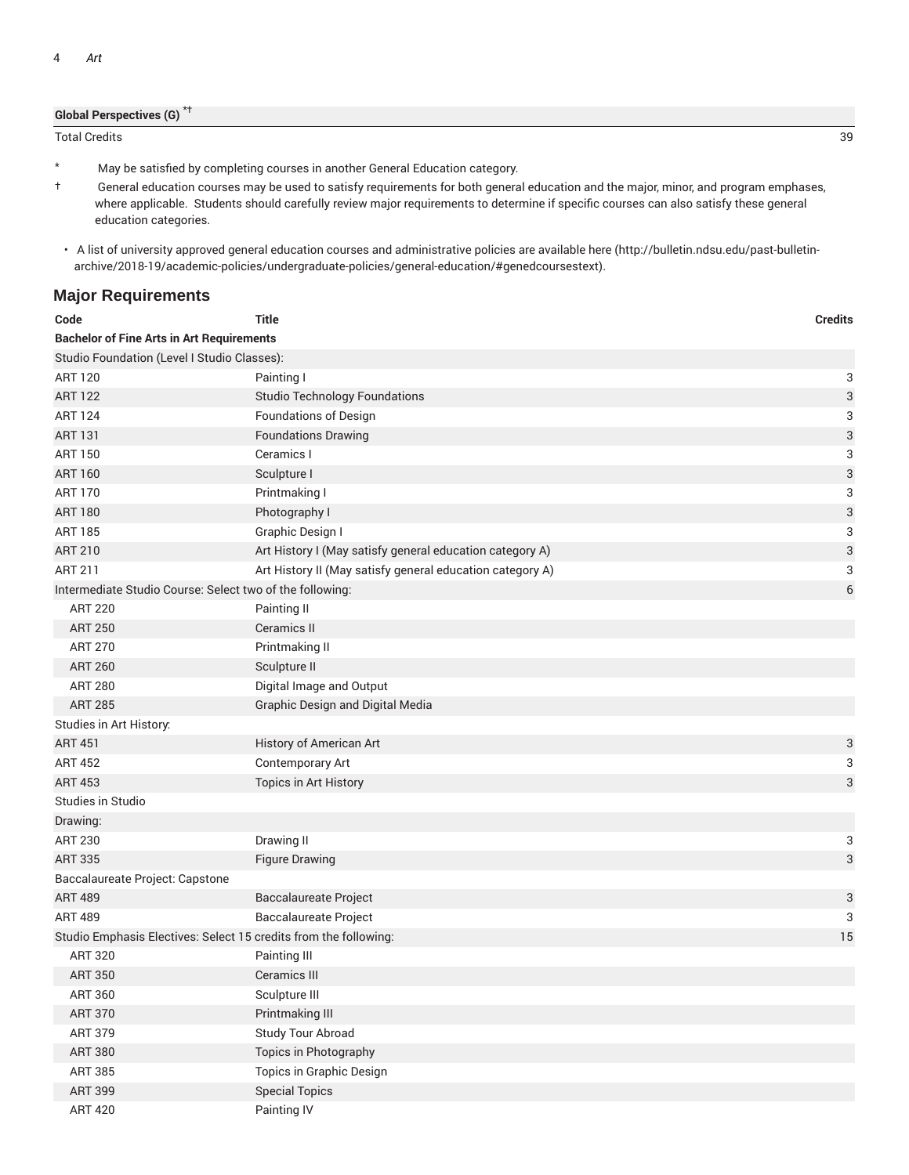| <b>Global Perspectives (G)</b> |    |
|--------------------------------|----|
| Total Credits                  | 39 |

\* May be satisfied by completing courses in another General Education category.

† General education courses may be used to satisfy requirements for both general education and the major, minor, and program emphases, where applicable. Students should carefully review major requirements to determine if specific courses can also satisfy these general education categories.

• A list of university approved general education courses and administrative policies are available here (http://bulletin.ndsu.edu/past-bulletinarchive/2018-19/academic-policies/undergraduate-policies/general-education/#genedcoursestext).

## **Major Requirements**

| Code                                                             | <b>Title</b>                                              | <b>Credits</b>            |
|------------------------------------------------------------------|-----------------------------------------------------------|---------------------------|
| <b>Bachelor of Fine Arts in Art Requirements</b>                 |                                                           |                           |
| Studio Foundation (Level I Studio Classes):                      |                                                           |                           |
| <b>ART 120</b>                                                   | Painting I                                                | 3                         |
| <b>ART 122</b>                                                   | <b>Studio Technology Foundations</b>                      | $\ensuremath{\mathsf{3}}$ |
| <b>ART 124</b>                                                   | <b>Foundations of Design</b>                              | $\ensuremath{\mathsf{3}}$ |
| <b>ART 131</b>                                                   | <b>Foundations Drawing</b>                                | $\sqrt{3}$                |
| <b>ART 150</b>                                                   | Ceramics I                                                | 3                         |
| <b>ART 160</b>                                                   | Sculpture I                                               | $\ensuremath{\mathsf{3}}$ |
| <b>ART 170</b>                                                   | Printmaking I                                             | 3                         |
| <b>ART 180</b>                                                   | Photography I                                             | $\ensuremath{\mathsf{3}}$ |
| <b>ART 185</b>                                                   | Graphic Design I                                          | 3                         |
| <b>ART 210</b>                                                   | Art History I (May satisfy general education category A)  | $\sqrt{3}$                |
| <b>ART 211</b>                                                   | Art History II (May satisfy general education category A) | 3                         |
| Intermediate Studio Course: Select two of the following:         |                                                           | 6                         |
| <b>ART 220</b>                                                   | Painting II                                               |                           |
| <b>ART 250</b>                                                   | Ceramics II                                               |                           |
| <b>ART 270</b>                                                   | Printmaking II                                            |                           |
| <b>ART 260</b>                                                   | Sculpture II                                              |                           |
| <b>ART 280</b>                                                   | Digital Image and Output                                  |                           |
| <b>ART 285</b>                                                   | Graphic Design and Digital Media                          |                           |
| Studies in Art History:                                          |                                                           |                           |
| <b>ART 451</b>                                                   | History of American Art                                   | 3                         |
| <b>ART 452</b>                                                   | Contemporary Art                                          | 3                         |
| <b>ART 453</b>                                                   | Topics in Art History                                     | 3                         |
| Studies in Studio                                                |                                                           |                           |
| Drawing:                                                         |                                                           |                           |
| <b>ART 230</b>                                                   | Drawing II                                                | 3                         |
| <b>ART 335</b>                                                   | <b>Figure Drawing</b>                                     | $\sqrt{3}$                |
| Baccalaureate Project: Capstone                                  |                                                           |                           |
| <b>ART 489</b>                                                   | <b>Baccalaureate Project</b>                              | $\sqrt{3}$                |
| <b>ART 489</b>                                                   | <b>Baccalaureate Project</b>                              | 3                         |
| Studio Emphasis Electives: Select 15 credits from the following: |                                                           | 15                        |
| <b>ART 320</b>                                                   | Painting III                                              |                           |
| <b>ART 350</b>                                                   | Ceramics III                                              |                           |
| ART 360                                                          | Sculpture III                                             |                           |
| <b>ART 370</b>                                                   | Printmaking III                                           |                           |
| <b>ART 379</b>                                                   | Study Tour Abroad                                         |                           |
| <b>ART 380</b>                                                   | Topics in Photography                                     |                           |
| <b>ART 385</b>                                                   | Topics in Graphic Design                                  |                           |
| <b>ART 399</b>                                                   | <b>Special Topics</b>                                     |                           |
| <b>ART 420</b>                                                   | Painting IV                                               |                           |